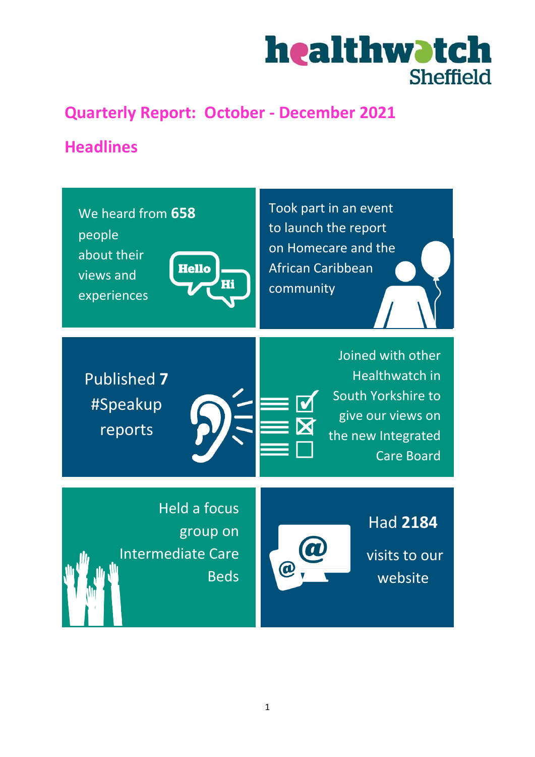

# **Quarterly Report: October - December 2021**

# **Headlines**

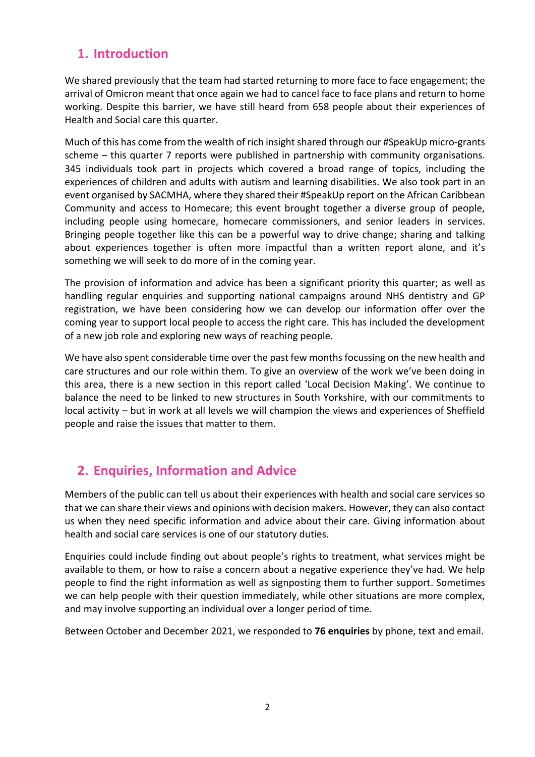# **1. Introduction**

We shared previously that the team had started returning to more face to face engagement; the arrival of Omicron meant that once again we had to cancel face to face plans and return to home working. Despite this barrier, we have still heard from 658 people about their experiences of Health and Social care this quarter.

Much of this has come from the wealth of rich insight shared through our #SpeakUp micro-grants scheme – this quarter 7 reports were published in partnership with community organisations. 345 individuals took part in projects which covered a broad range of topics, including the experiences of children and adults with autism and learning disabilities. We also took part in an event organised by SACMHA, where they shared their #SpeakUp report on the African Caribbean Community and access to Homecare; this event brought together a diverse group of people, including people using homecare, homecare commissioners, and senior leaders in services. Bringing people together like this can be a powerful way to drive change; sharing and talking about experiences together is often more impactful than a written report alone, and it's something we will seek to do more of in the coming year.

The provision of information and advice has been a significant priority this quarter; as well as handling regular enquiries and supporting national campaigns around NHS dentistry and GP registration, we have been considering how we can develop our information offer over the coming year to support local people to access the right care. This has included the development of a new job role and exploring new ways of reaching people.

We have also spent considerable time over the past few months focussing on the new health and care structures and our role within them. To give an overview of the work we've been doing in this area, there is a new section in this report called 'Local Decision Making'. We continue to balance the need to be linked to new structures in South Yorkshire, with our commitments to local activity – but in work at all levels we will champion the views and experiences of Sheffield people and raise the issues that matter to them.

# **2. Enquiries, Information and Advice**

Members of the public can tell us about their experiences with health and social care services so that we can share their views and opinions with decision makers. However, they can also contact us when they need specific information and advice about their care. Giving information about health and social care services is one of our statutory duties.

Enquiries could include finding out about people's rights to treatment, what services might be available to them, or how to raise a concern about a negative experience they've had. We help people to find the right information as well as signposting them to further support. Sometimes we can help people with their question immediately, while other situations are more complex, and may involve supporting an individual over a longer period of time.

Between October and December 2021, we responded to **76 enquiries** by phone, text and email.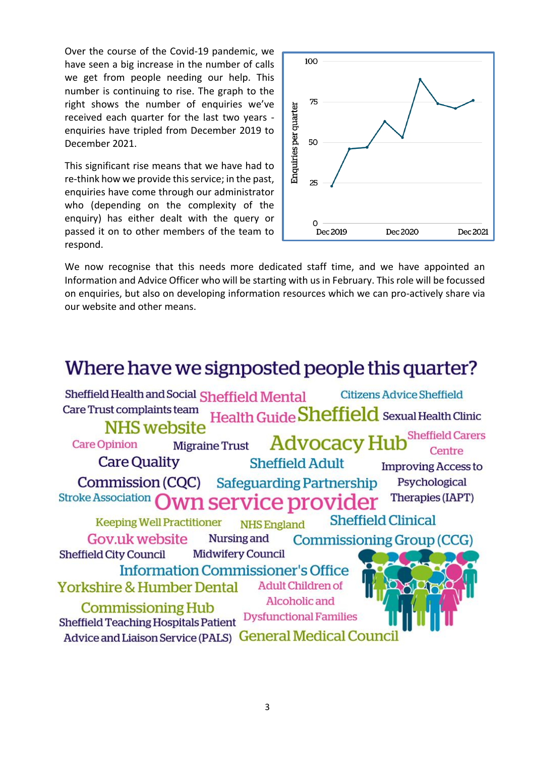Over the course of the Covid-19 pandemic, we have seen a big increase in the number of calls we get from people needing our help. This number is continuing to rise. The graph to the right shows the number of enquiries we've received each quarter for the last two years enquiries have tripled from December 2019 to December 2021.

This significant rise means that we have had to re-think how we provide this service; in the past, enquiries have come through our administrator who (depending on the complexity of the enquiry) has either dealt with the query or passed it on to other members of the team to respond.



We now recognise that this needs more dedicated staff time, and we have appointed an Information and Advice Officer who will be starting with us in February. This role will be focussed on enquiries, but also on developing information resources which we can pro-actively share via our website and other means.

# Where have we signposted people this quarter?

Sheffield Health and Social Sheffield Mental **Citizens Advice Sheffield** Care Trust complaints team Health Guide Sheffield Sexual Health Clinic NHS website **Sheffield Carers Advocacy Hub Care Opinion Migraine Trust** Centre **Care Quality Sheffield Adult Improving Access to Commission (CQC) Safeguarding Partnership** Psychological Stroke Association wn service provider Therapies (IAPT) **Sheffield Clinical Keeping Well Practitioner NHS England** Nursing and Gov.uk website Commissioning Group (CCG) **Midwifery Council Sheffield City Council Information Commissioner's Office Adult Children of Yorkshire & Humber Dental** Alcoholic and **Commissioning Hub Dysfunctional Families Sheffield Teaching Hospitals Patient** Advice and Liaison Service (PALS) General Medical Council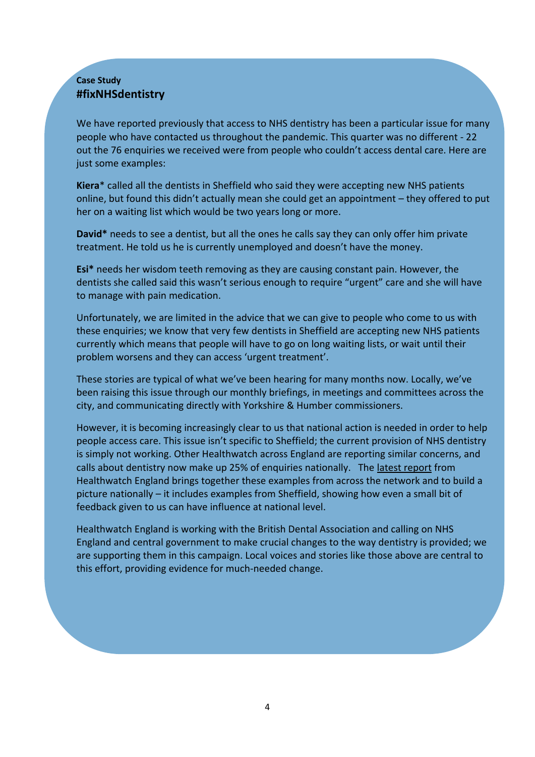#### **Case Study #fixNHSdentistry**

We have reported previously that access to NHS dentistry has been a particular issue for many people who have contacted us throughout the pandemic. This quarter was no different - 22 out the 76 enquiries we received were from people who couldn't access dental care. Here are just some examples:

**Kiera**\* called all the dentists in Sheffield who said they were accepting new NHS patients online, but found this didn't actually mean she could get an appointment – they offered to put her on a waiting list which would be two years long or more.

**David\*** needs to see a dentist, but all the ones he calls say they can only offer him private treatment. He told us he is currently unemployed and doesn't have the money.

**Esi\*** needs her wisdom teeth removing as they are causing constant pain. However, the dentists she called said this wasn't serious enough to require "urgent" care and she will have to manage with pain medication.

Unfortunately, we are limited in the advice that we can give to people who come to us with these enquiries; we know that very few dentists in Sheffield are accepting new NHS patients currently which means that people will have to go on long waiting lists, or wait until their problem worsens and they can access 'urgent treatment'.

These stories are typical of what we've been hearing for many months now. Locally, we've been raising this issue through our monthly briefings, in meetings and committees across the city, and communicating directly with Yorkshire & Humber commissioners.

However, it is becoming increasingly clear to us that national action is needed in order to help people access care. This issue isn't specific to Sheffield; the current provision of NHS dentistry is simply not working. Other Healthwatch across England are reporting similar concerns, and calls about dentistry now make up 25% of enquiries nationally. The [latest report](https://dentistry.co.uk/wp-content/uploads/2021/12/20211014_HWE-Dentistry-Update-Dec-2021.pdf) from Healthwatch England brings together these examples from across the network and to build a picture nationally – it includes examples from Sheffield, showing how even a small bit of feedback given to us can have influence at national level.

Healthwatch England is working with the British Dental Association and calling on NHS England and central government to make crucial changes to the way dentistry is provided; we are supporting them in this campaign. Local voices and stories like those above are central to this effort, providing evidence for much-needed change.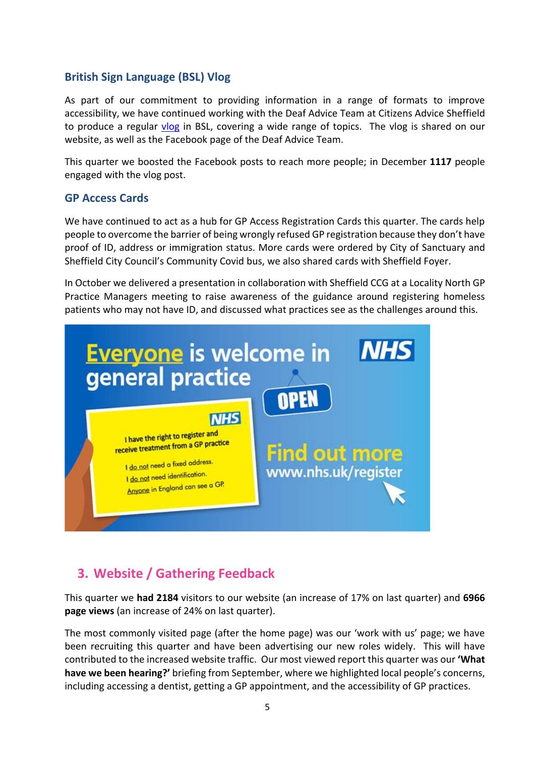#### **British Sign Language (BSL) Vlog**

As part of our commitment to providing information in a range of formats to improve accessibility, we have continued working with the Deaf Advice Team at Citizens Advice Sheffield to produce a regular [vlog](https://www.healthwatchsheffield.co.uk/advice-and-information/2021-04-30/bsl-vlog-april) in BSL, covering a wide range of topics. The vlog is shared on our website, as well as the Facebook page of the Deaf Advice Team.

This quarter we boosted the Facebook posts to reach more people; in December **1117** people engaged with the vlog post.

#### **GP Access Cards**

We have continued to act as a hub for GP Access Registration Cards this quarter. The cards help people to overcome the barrier of being wrongly refused GP registration because they don't have proof of ID, address or immigration status. More cards were ordered by City of Sanctuary and Sheffield City Council's Community Covid bus, we also shared cards with Sheffield Foyer.

In October we delivered a presentation in collaboration with Sheffield CCG at a Locality North GP Practice Managers meeting to raise awareness of the guidance around registering homeless patients who may not have ID, and discussed what practices see as the challenges around this.



# **3. Website / Gathering Feedback**

This quarter we **had 2184** visitors to our website (an increase of 17% on last quarter) and **6966 page views** (an increase of 24% on last quarter).

The most commonly visited page (after the home page) was our 'work with us' page; we have been recruiting this quarter and have been advertising our new roles widely. This will have contributed to the increased website traffic. Our most viewed report this quarter was our **'What have we been hearing?'** briefing from September, where we highlighted local people's concerns, including accessing a dentist, getting a GP appointment, and the accessibility of GP practices.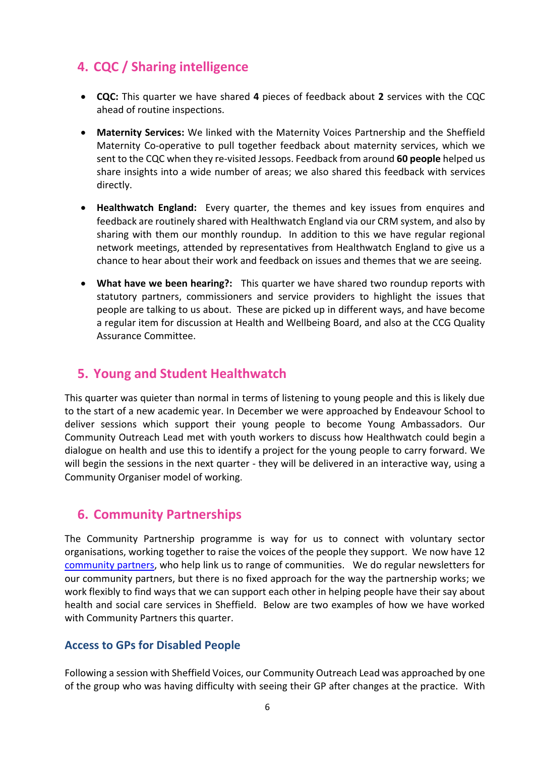# **4. CQC / Sharing intelligence**

- **CQC:** This quarter we have shared **4** pieces of feedback about **2** services with the CQC ahead of routine inspections.
- **Maternity Services:** We linked with the Maternity Voices Partnership and the Sheffield Maternity Co-operative to pull together feedback about maternity services, which we sent to the CQC when they re-visited Jessops. Feedback from around **60 people** helped us share insights into a wide number of areas; we also shared this feedback with services directly.
- **Healthwatch England:** Every quarter, the themes and key issues from enquires and feedback are routinely shared with Healthwatch England via our CRM system, and also by sharing with them our monthly roundup. In addition to this we have regular regional network meetings, attended by representatives from Healthwatch England to give us a chance to hear about their work and feedback on issues and themes that we are seeing.
- **What have we been hearing?:** This quarter we have shared two roundup reports with statutory partners, commissioners and service providers to highlight the issues that people are talking to us about. These are picked up in different ways, and have become a regular item for discussion at Health and Wellbeing Board, and also at the CCG Quality Assurance Committee.

## **5. Young and Student Healthwatch**

This quarter was quieter than normal in terms of listening to young people and this is likely due to the start of a new academic year. In December we were approached by Endeavour School to deliver sessions which support their young people to become Young Ambassadors. Our Community Outreach Lead met with youth workers to discuss how Healthwatch could begin a dialogue on health and use this to identify a project for the young people to carry forward. We will begin the sessions in the next quarter - they will be delivered in an interactive way, using a Community Organiser model of working.

### **6. Community Partnerships**

The Community Partnership programme is way for us to connect with voluntary sector organisations, working together to raise the voices of the people they support. We now have 12 [community partners,](https://www.healthwatchsheffield.co.uk/our-community-partners) who help link us to range of communities. We do regular newsletters for our community partners, but there is no fixed approach for the way the partnership works; we work flexibly to find ways that we can support each other in helping people have their say about health and social care services in Sheffield. Below are two examples of how we have worked with Community Partners this quarter.

#### **Access to GPs for Disabled People**

Following a session with Sheffield Voices, our Community Outreach Lead was approached by one of the group who was having difficulty with seeing their GP after changes at the practice. With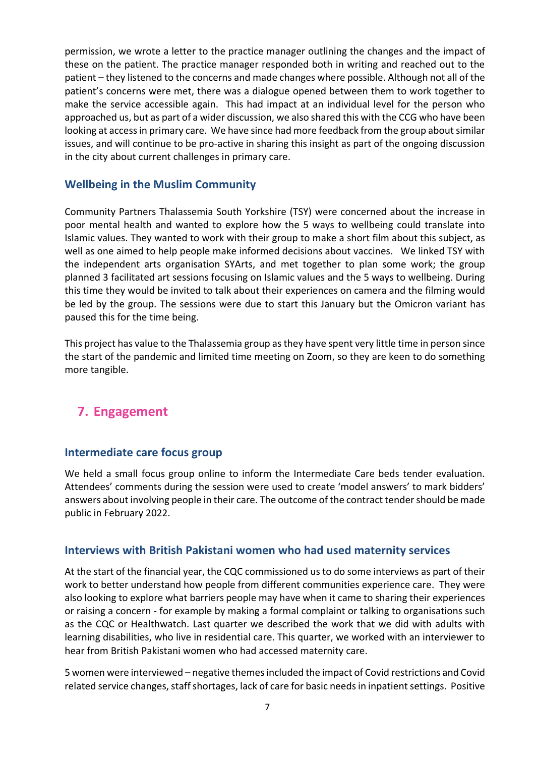permission, we wrote a letter to the practice manager outlining the changes and the impact of these on the patient. The practice manager responded both in writing and reached out to the patient – they listened to the concerns and made changes where possible. Although not all of the patient's concerns were met, there was a dialogue opened between them to work together to make the service accessible again. This had impact at an individual level for the person who approached us, but as part of a wider discussion, we also shared this with the CCG who have been looking at access in primary care. We have since had more feedback from the group about similar issues, and will continue to be pro-active in sharing this insight as part of the ongoing discussion in the city about current challenges in primary care.

#### **Wellbeing in the Muslim Community**

Community Partners Thalassemia South Yorkshire (TSY) were concerned about the increase in poor mental health and wanted to explore how the 5 ways to wellbeing could translate into Islamic values. They wanted to work with their group to make a short film about this subject, as well as one aimed to help people make informed decisions about vaccines. We linked TSY with the independent arts organisation SYArts, and met together to plan some work; the group planned 3 facilitated art sessions focusing on Islamic values and the 5 ways to wellbeing. During this time they would be invited to talk about their experiences on camera and the filming would be led by the group. The sessions were due to start this January but the Omicron variant has paused this for the time being.

This project has value to the Thalassemia group as they have spent very little time in person since the start of the pandemic and limited time meeting on Zoom, so they are keen to do something more tangible.

# **7. Engagement**

#### **Intermediate care focus group**

We held a small focus group online to inform the Intermediate Care beds tender evaluation. Attendees' comments during the session were used to create 'model answers' to mark bidders' answers about involving people in their care. The outcome of the contract tender should be made public in February 2022.

#### **Interviews with British Pakistani women who had used maternity services**

At the start of the financial year, the CQC commissioned us to do some interviews as part of their work to better understand how people from different communities experience care. They were also looking to explore what barriers people may have when it came to sharing their experiences or raising a concern - for example by making a formal complaint or talking to organisations such as the CQC or Healthwatch. Last quarter we described the work that we did with adults with learning disabilities, who live in residential care. This quarter, we worked with an interviewer to hear from British Pakistani women who had accessed maternity care.

5 women were interviewed – negative themes included the impact of Covid restrictions and Covid related service changes, staff shortages, lack of care for basic needs in inpatient settings. Positive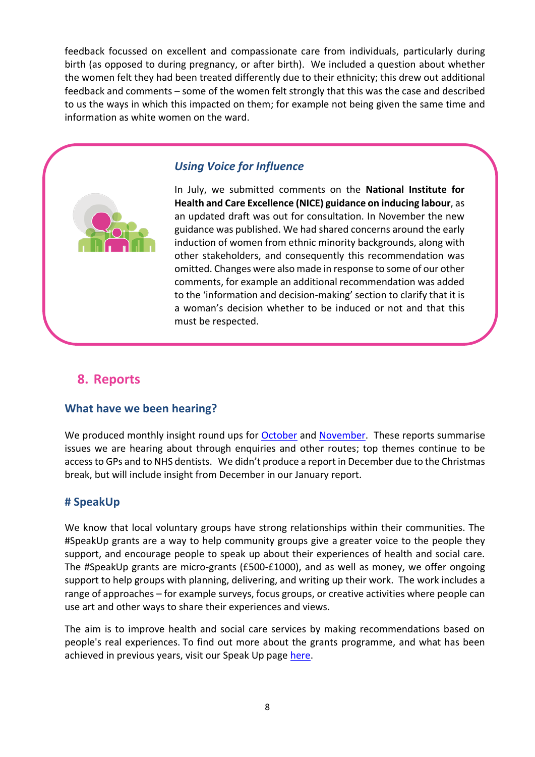feedback focussed on excellent and compassionate care from individuals, particularly during birth (as opposed to during pregnancy, or after birth). We included a question about whether the women felt they had been treated differently due to their ethnicity; this drew out additional feedback and comments – some of the women felt strongly that this was the case and described to us the ways in which this impacted on them; for example not being given the same time and information as white women on the ward.



#### *Using Voice for Influence*

In July, we submitted comments on the **National Institute for Health and Care Excellence (NICE) guidance on inducing labour**, as an updated draft was out for consultation. In November the new guidance was published. We had shared concerns around the early induction of women from ethnic minority backgrounds, along with other stakeholders, and consequently this recommendation was omitted. Changes were also made in response to some of our other comments, for example an additional recommendation was added to the 'information and decision-making' section to clarify that it is a woman's decision whether to be induced or not and that this must be respected.

#### **8. Reports**

#### **What have we been hearing?**

We produced monthly insight round ups for [October](https://www.healthwatchsheffield.co.uk/report/2021-11-19/october-2021-what-have-we-been-hearing) and [November.](https://www.healthwatchsheffield.co.uk/report/2021-12-22/november-2021-what-have-we-been-hearing) These reports summarise issues we are hearing about through enquiries and other routes; top themes continue to be access to GPs and to NHS dentists. We didn't produce a report in December due to the Christmas break, but will include insight from December in our January report.

#### **# SpeakUp**

We know that local voluntary groups have strong relationships within their communities. The #SpeakUp grants are a way to help community groups give a greater voice to the people they support, and encourage people to speak up about their experiences of health and social care. The #SpeakUp grants are micro-grants (£500-£1000), and as well as money, we offer ongoing support to help groups with planning, delivering, and writing up their work. The work includes a range of approaches – for example surveys, focus groups, or creative activities where people can use art and other ways to share their experiences and views.

The aim is to improve health and social care services by making recommendations based on people's real experiences. To find out more about the grants programme, and what has been achieved in previous years, visit our Speak Up page [here.](https://www.healthwatchsheffield.co.uk/speakup-small-grants-scheme)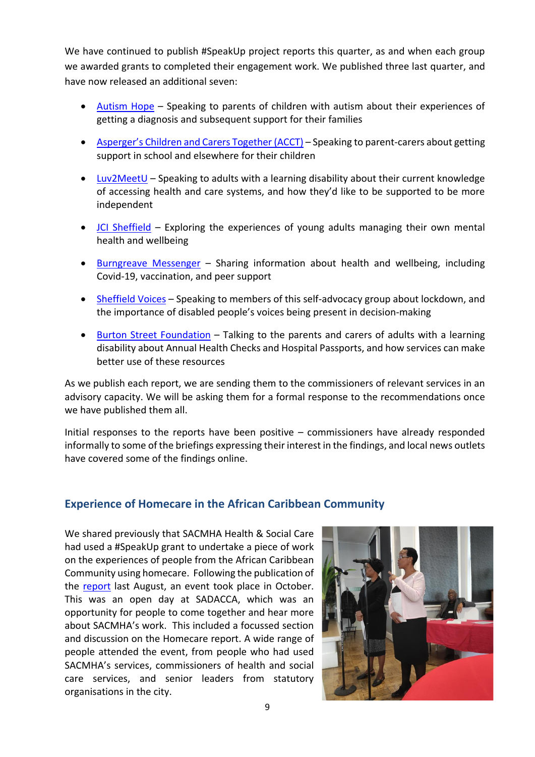We have continued to publish #SpeakUp project reports this quarter, as and when each group we awarded grants to completed their engagement work. We published three last quarter, and have now released an additional seven:

- [Autism Hope](https://www.healthwatchsheffield.co.uk/report/2021-11-03/speakup-2021-autism-hope) Speaking to parents of children with autism about their experiences of getting a diagnosis and subsequent support for their families
- [Asperger's Children and Carers Together \(ACCT\)](https://www.healthwatchsheffield.co.uk/report/2021-11-05/speakup-2021-aspergers-children-and-carers-together-acct) Speaking to parent-carers about getting support in school and elsewhere for their children
- [Luv2MeetU](https://www.healthwatchsheffield.co.uk/report/2021-11-16/speakup-2021-luv2meetu) Speaking to adults with a learning disability about their current knowledge of accessing health and care systems, and how they'd like to be supported to be more independent
- [JCI Sheffield](https://www.healthwatchsheffield.co.uk/report/2021-12-14/speakup-2021-jci-sheffield) Exploring the experiences of young adults managing their own mental health and wellbeing
- [Burngreave Messenger](https://www.healthwatchsheffield.co.uk/report/2021-12-14/speakup-2021-burngreave-messenger) Sharing information about health and wellbeing, including Covid-19, vaccination, and peer support
- [Sheffield Voices](https://www.healthwatchsheffield.co.uk/report/2021-12-17/speakup-2021-sheffield-voices) Speaking to members of this self-advocacy group about lockdown, and the importance of disabled people's voices being present in decision-making
- [Burton Street Foundation](https://www.healthwatchsheffield.co.uk/report/2021-12-17/speakup-2021-burton-street-foundation) Talking to the parents and carers of adults with a learning disability about Annual Health Checks and Hospital Passports, and how services can make better use of these resources

As we publish each report, we are sending them to the commissioners of relevant services in an advisory capacity. We will be asking them for a formal response to the recommendations once we have published them all.

Initial responses to the reports have been positive – commissioners have already responded informally to some of the briefings expressing their interest in the findings, and local news outlets have covered some of the findings online.

#### **Experience of Homecare in the African Caribbean Community**

We shared previously that SACMHA Health & Social Care had used a #SpeakUp grant to undertake a piece of work on the experiences of people from the African Caribbean Community using homecare. Following the publication of the [report](https://www.healthwatchsheffield.co.uk/news/2021-08-23/home-care-african-caribbean-perspective) last August, an event took place in October. This was an open day at SADACCA, which was an opportunity for people to come together and hear more about SACMHA's work. This included a focussed section and discussion on the Homecare report. A wide range of people attended the event, from people who had used SACMHA's services, commissioners of health and social care services, and senior leaders from statutory organisations in the city.

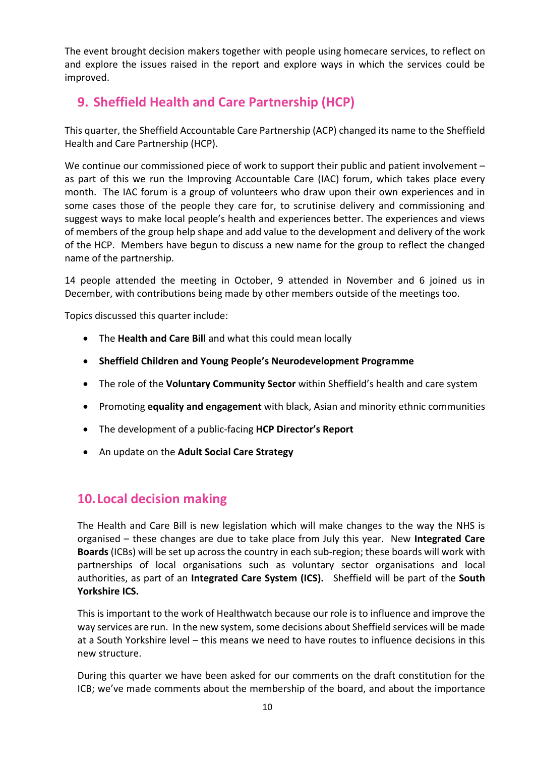The event brought decision makers together with people using homecare services, to reflect on and explore the issues raised in the report and explore ways in which the services could be improved.

# **9. Sheffield Health and Care Partnership (HCP)**

This quarter, the Sheffield Accountable Care Partnership (ACP) changed its name to the Sheffield Health and Care Partnership (HCP).

We continue our commissioned piece of work to support their public and patient involvement – as part of this we run the Improving Accountable Care (IAC) forum, which takes place every month. The IAC forum is a group of volunteers who draw upon their own experiences and in some cases those of the people they care for, to scrutinise delivery and commissioning and suggest ways to make local people's health and experiences better. The experiences and views of members of the group help shape and add value to the development and delivery of the work of the HCP. Members have begun to discuss a new name for the group to reflect the changed name of the partnership.

14 people attended the meeting in October, 9 attended in November and 6 joined us in December, with contributions being made by other members outside of the meetings too.

Topics discussed this quarter include:

- The **Health and Care Bill** and what this could mean locally
- **Sheffield Children and Young People's Neurodevelopment Programme**
- The role of the **Voluntary Community Sector** within Sheffield's health and care system
- Promoting **equality and engagement** with black, Asian and minority ethnic communities
- The development of a public-facing **HCP Director's Report**
- An update on the **Adult Social Care Strategy**

### **10.Local decision making**

The Health and Care Bill is new legislation which will make changes to the way the NHS is organised – these changes are due to take place from July this year. New **Integrated Care Boards** (ICBs) will be set up across the country in each sub-region; these boards will work with partnerships of local organisations such as voluntary sector organisations and local authorities, as part of an **Integrated Care System (ICS).** Sheffield will be part of the **South Yorkshire ICS.**

This is important to the work of Healthwatch because our role is to influence and improve the way services are run. In the new system, some decisions about Sheffield services will be made at a South Yorkshire level – this means we need to have routes to influence decisions in this new structure.

During this quarter we have been asked for our comments on the draft constitution for the ICB; we've made comments about the membership of the board, and about the importance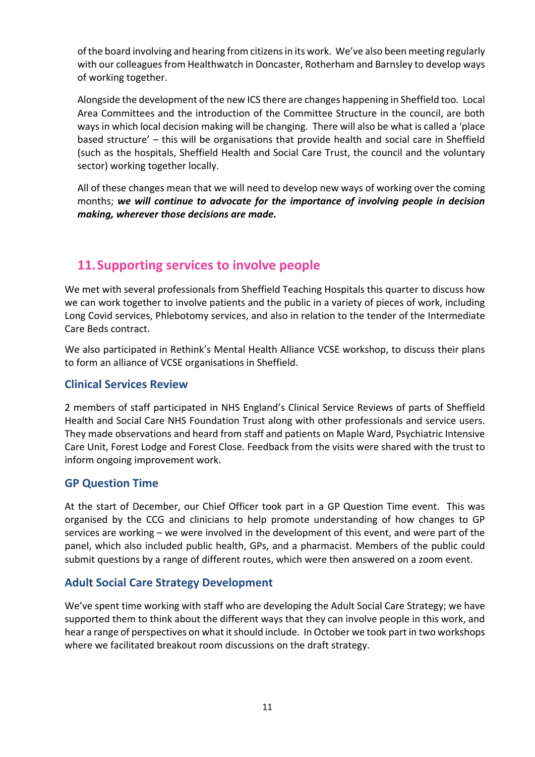of the board involving and hearing from citizens in its work. We've also been meeting regularly with our colleagues from Healthwatch in Doncaster, Rotherham and Barnsley to develop ways of working together.

Alongside the development of the new ICS there are changes happening in Sheffield too. Local Area Committees and the introduction of the Committee Structure in the council, are both ways in which local decision making will be changing. There will also be what is called a 'place based structure' – this will be organisations that provide health and social care in Sheffield (such as the hospitals, Sheffield Health and Social Care Trust, the council and the voluntary sector) working together locally.

All of these changes mean that we will need to develop new ways of working over the coming months; *we will continue to advocate for the importance of involving people in decision making, wherever those decisions are made.*

# **11.Supporting services to involve people**

We met with several professionals from Sheffield Teaching Hospitals this quarter to discuss how we can work together to involve patients and the public in a variety of pieces of work, including Long Covid services, Phlebotomy services, and also in relation to the tender of the Intermediate Care Beds contract.

We also participated in Rethink's Mental Health Alliance VCSE workshop, to discuss their plans to form an alliance of VCSE organisations in Sheffield.

#### **Clinical Services Review**

2 members of staff participated in NHS England's Clinical Service Reviews of parts of Sheffield Health and Social Care NHS Foundation Trust along with other professionals and service users. They made observations and heard from staff and patients on Maple Ward, Psychiatric Intensive Care Unit, Forest Lodge and Forest Close. Feedback from the visits were shared with the trust to inform ongoing improvement work.

#### **GP Question Time**

At the start of December, our Chief Officer took part in a GP Question Time event. This was organised by the CCG and clinicians to help promote understanding of how changes to GP services are working – we were involved in the development of this event, and were part of the panel, which also included public health, GPs, and a pharmacist. Members of the public could submit questions by a range of different routes, which were then answered on a zoom event.

#### **Adult Social Care Strategy Development**

We've spent time working with staff who are developing the Adult Social Care Strategy; we have supported them to think about the different ways that they can involve people in this work, and hear a range of perspectives on what it should include. In October we took part in two workshops where we facilitated breakout room discussions on the draft strategy.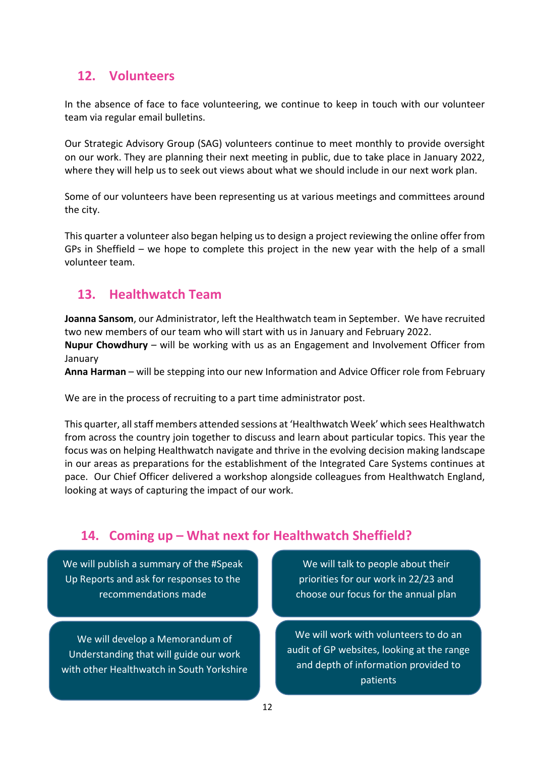## **12. Volunteers**

In the absence of face to face volunteering, we continue to keep in touch with our volunteer team via regular email bulletins.

Our Strategic Advisory Group (SAG) volunteers continue to meet monthly to provide oversight on our work. They are planning their next meeting in public, due to take place in January 2022, where they will help us to seek out views about what we should include in our next work plan.

Some of our volunteers have been representing us at various meetings and committees around the city.

This quarter a volunteer also began helping us to design a project reviewing the online offer from GPs in Sheffield – we hope to complete this project in the new year with the help of a small volunteer team.

### **13. Healthwatch Team**

**Joanna Sansom**, our Administrator, left the Healthwatch team in September. We have recruited two new members of our team who will start with us in January and February 2022.

**Nupur Chowdhury** – will be working with us as an Engagement and Involvement Officer from January

**Anna Harman** – will be stepping into our new Information and Advice Officer role from February

We are in the process of recruiting to a part time administrator post.

This quarter, all staff members attended sessions at 'Healthwatch Week' which sees Healthwatch from across the country join together to discuss and learn about particular topics. This year the focus was on helping Healthwatch navigate and thrive in the evolving decision making landscape in our areas as preparations for the establishment of the Integrated Care Systems continues at pace. Our Chief Officer delivered a workshop alongside colleagues from Healthwatch England, looking at ways of capturing the impact of our work.

# **14. Coming up – What next for Healthwatch Sheffield?**

We will publish a summary of the #Speak Up Reports and ask for responses to the recommendations made

We will develop a Memorandum of Understanding that will guide our work with other Healthwatch in South Yorkshire

We will talk to people about their priorities for our work in 22/23 and choose our focus for the annual plan

We will work with volunteers to do an audit of GP websites, looking at the range and depth of information provided to patients